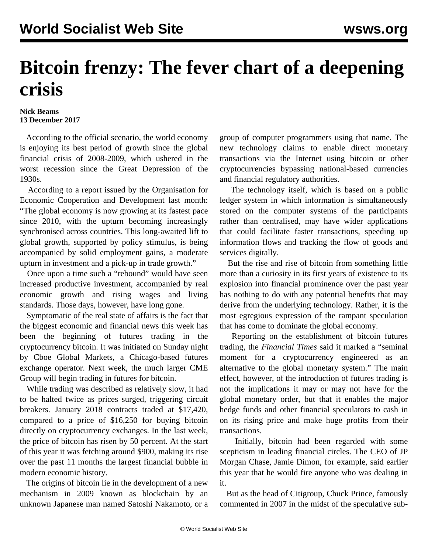## **Bitcoin frenzy: The fever chart of a deepening crisis**

## **Nick Beams 13 December 2017**

 According to the official scenario, the world economy is enjoying its best period of growth since the global financial crisis of 2008-2009, which ushered in the worst recession since the Great Depression of the 1930s.

 According to a report issued by the Organisation for Economic Cooperation and Development last month: "The global economy is now growing at its fastest pace since 2010, with the upturn becoming increasingly synchronised across countries. This long-awaited lift to global growth, supported by policy stimulus, is being accompanied by solid employment gains, a moderate upturn in investment and a pick-up in trade growth."

 Once upon a time such a "rebound" would have seen increased productive investment, accompanied by real economic growth and rising wages and living standards. Those days, however, have long gone.

 Symptomatic of the real state of affairs is the fact that the biggest economic and financial news this week has been the beginning of futures trading in the cryptocurrency bitcoin. It was initiated on Sunday night by Cboe Global Markets, a Chicago-based futures exchange operator. Next week, the much larger CME Group will begin trading in futures for bitcoin.

 While trading was described as relatively slow, it had to be halted twice as prices surged, triggering circuit breakers. January 2018 contracts traded at \$17,420, compared to a price of \$16,250 for buying bitcoin directly on cryptocurrency exchanges. In the last week, the price of bitcoin has risen by 50 percent. At the start of this year it was fetching around \$900, making its rise over the past 11 months the largest financial bubble in modern economic history.

 The origins of bitcoin lie in the development of a new mechanism in 2009 known as blockchain by an unknown Japanese man named Satoshi Nakamoto, or a group of computer programmers using that name. The new technology claims to enable direct monetary transactions via the Internet using bitcoin or other cryptocurrencies bypassing national-based currencies and financial regulatory authorities.

 The technology itself, which is based on a public ledger system in which information is simultaneously stored on the computer systems of the participants rather than centralised, may have wider applications that could facilitate faster transactions, speeding up information flows and tracking the flow of goods and services digitally.

 But the rise and rise of bitcoin from something little more than a curiosity in its first years of existence to its explosion into financial prominence over the past year has nothing to do with any potential benefits that may derive from the underlying technology. Rather, it is the most egregious expression of the rampant speculation that has come to dominate the global economy.

 Reporting on the establishment of bitcoin futures trading, the *Financial Times* said it marked a "seminal moment for a cryptocurrency engineered as an alternative to the global monetary system." The main effect, however, of the introduction of futures trading is not the implications it may or may not have for the global monetary order, but that it enables the major hedge funds and other financial speculators to cash in on its rising price and make huge profits from their transactions.

 Initially, bitcoin had been regarded with some scepticism in leading financial circles. The CEO of JP Morgan Chase, Jamie Dimon, for example, said earlier this year that he would fire anyone who was dealing in it.

 But as the head of Citigroup, Chuck Prince, famously commented in 2007 in the midst of the speculative sub